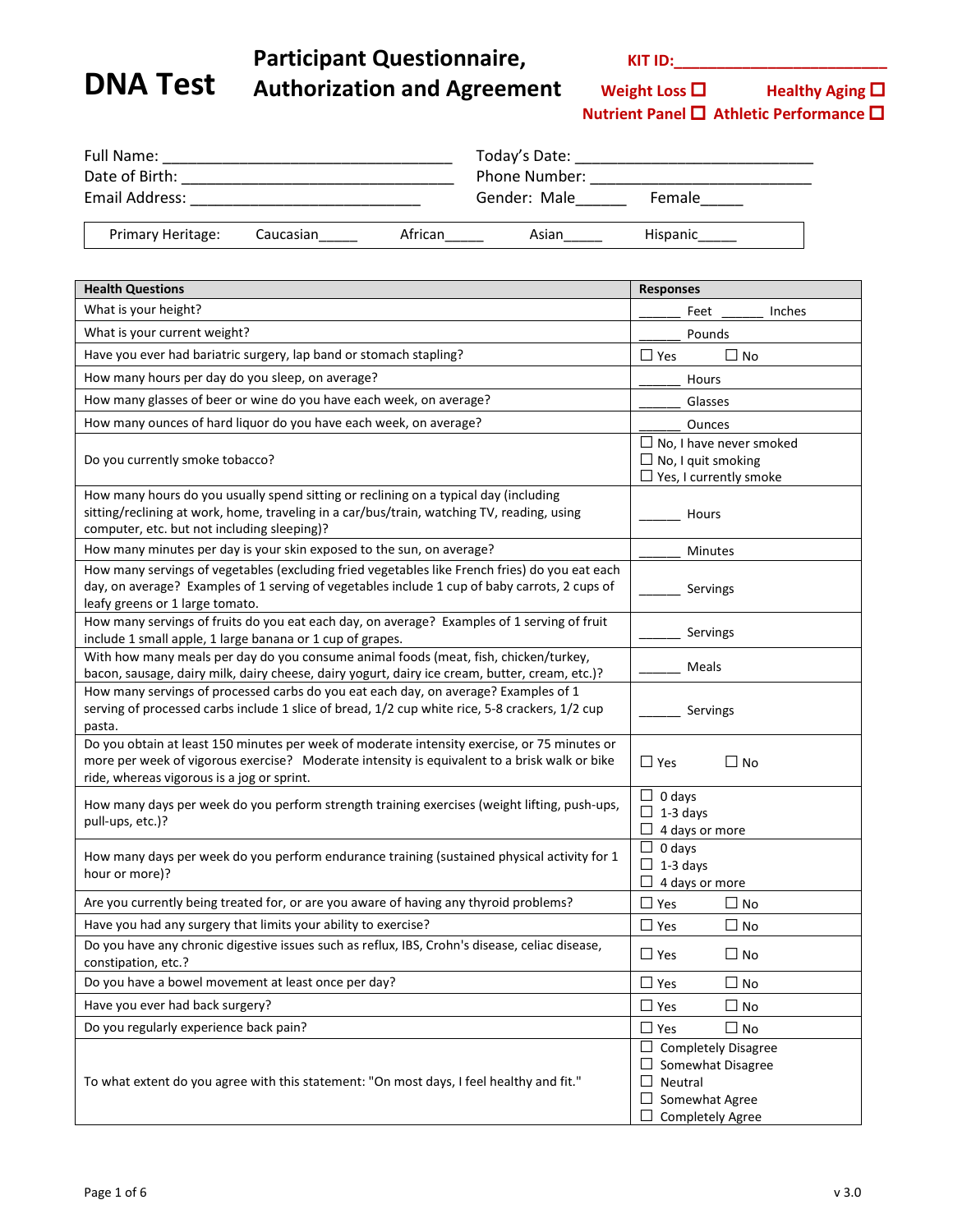Participant Questionnaire, KIT ID:

**DNA Test**

Authorization and Agreement Weight Loss D Healthy Aging D

**Nutrient Panel** □ Athletic Performance □

| Full Name:<br>Date of Birth: |           |         | Today's Date:<br><b>Phone Number:</b> |          |  |
|------------------------------|-----------|---------|---------------------------------------|----------|--|
| Email Address:               |           |         | Gender: Male                          | Female   |  |
| Primary Heritage:            | Caucasian | African | Asian                                 | Hispanic |  |

| <b>Health Questions</b>                                                                                                                                                                                                                    | <b>Responses</b>                                                                                                              |
|--------------------------------------------------------------------------------------------------------------------------------------------------------------------------------------------------------------------------------------------|-------------------------------------------------------------------------------------------------------------------------------|
| What is your height?                                                                                                                                                                                                                       | Inches<br>Feet                                                                                                                |
| What is your current weight?                                                                                                                                                                                                               | Pounds                                                                                                                        |
| Have you ever had bariatric surgery, lap band or stomach stapling?                                                                                                                                                                         | $\Box$ Yes<br>$\Box$ No                                                                                                       |
| How many hours per day do you sleep, on average?                                                                                                                                                                                           | Hours                                                                                                                         |
| How many glasses of beer or wine do you have each week, on average?                                                                                                                                                                        | Glasses                                                                                                                       |
| How many ounces of hard liquor do you have each week, on average?                                                                                                                                                                          | Ounces                                                                                                                        |
| Do you currently smoke tobacco?                                                                                                                                                                                                            | $\Box$ No, I have never smoked<br>$\Box$ No, I quit smoking<br>$\Box$ Yes, I currently smoke                                  |
| How many hours do you usually spend sitting or reclining on a typical day (including<br>sitting/reclining at work, home, traveling in a car/bus/train, watching TV, reading, using<br>computer, etc. but not including sleeping)?          | Hours                                                                                                                         |
| How many minutes per day is your skin exposed to the sun, on average?                                                                                                                                                                      | <b>Minutes</b>                                                                                                                |
| How many servings of vegetables (excluding fried vegetables like French fries) do you eat each<br>day, on average? Examples of 1 serving of vegetables include 1 cup of baby carrots, 2 cups of<br>leafy greens or 1 large tomato.         | Servings                                                                                                                      |
| How many servings of fruits do you eat each day, on average? Examples of 1 serving of fruit<br>include 1 small apple, 1 large banana or 1 cup of grapes.                                                                                   | Servings                                                                                                                      |
| With how many meals per day do you consume animal foods (meat, fish, chicken/turkey,<br>bacon, sausage, dairy milk, dairy cheese, dairy yogurt, dairy ice cream, butter, cream, etc.)?                                                     | Meals                                                                                                                         |
| How many servings of processed carbs do you eat each day, on average? Examples of 1<br>serving of processed carbs include 1 slice of bread, 1/2 cup white rice, 5-8 crackers, 1/2 cup<br>pasta.                                            | Servings                                                                                                                      |
| Do you obtain at least 150 minutes per week of moderate intensity exercise, or 75 minutes or<br>more per week of vigorous exercise? Moderate intensity is equivalent to a brisk walk or bike<br>ride, whereas vigorous is a jog or sprint. | $\Box$ Yes<br>$\Box$ No                                                                                                       |
| How many days per week do you perform strength training exercises (weight lifting, push-ups,<br>pull-ups, etc.)?                                                                                                                           | $\Box$ 0 days<br>$\Box$ 1-3 days<br>$\Box$ 4 days or more                                                                     |
| How many days per week do you perform endurance training (sustained physical activity for 1<br>hour or more)?                                                                                                                              | $\Box$ 0 days<br>$\Box$ 1-3 days<br>4 days or more<br>ப                                                                       |
| Are you currently being treated for, or are you aware of having any thyroid problems?                                                                                                                                                      | $\Box$ Yes<br>$\Box$ No                                                                                                       |
| Have you had any surgery that limits your ability to exercise?                                                                                                                                                                             | $\Box$ Yes<br>$\Box$ No                                                                                                       |
| Do you have any chronic digestive issues such as reflux, IBS, Crohn's disease, celiac disease,<br>constipation, etc.?                                                                                                                      | $\Box$ No<br>$\Box$ Yes                                                                                                       |
| Do you have a bowel movement at least once per day?                                                                                                                                                                                        | $\Box$ Yes<br>$\Box$ No                                                                                                       |
| Have you ever had back surgery?                                                                                                                                                                                                            | $\Box$ Yes<br>$\Box$ No                                                                                                       |
| Do you regularly experience back pain?                                                                                                                                                                                                     | $\Box$ Yes<br>$\Box$ No                                                                                                       |
| To what extent do you agree with this statement: "On most days, I feel healthy and fit."                                                                                                                                                   | $\Box$ Completely Disagree<br>Somewhat Disagree<br>ш<br>$\Box$<br>Neutral<br>$\Box$ Somewhat Agree<br><b>Completely Agree</b> |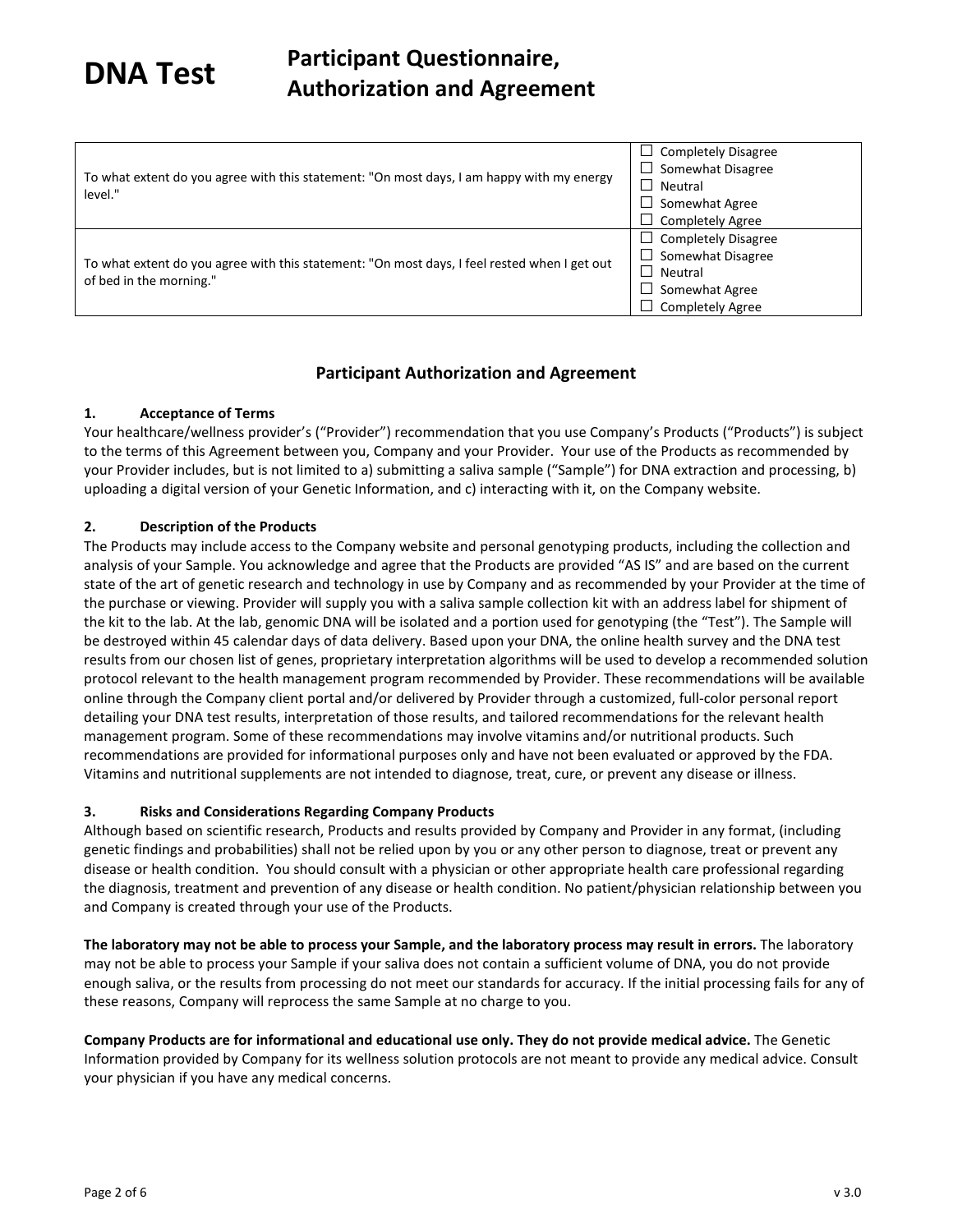| To what extent do you agree with this statement: "On most days, I am happy with my energy<br>level."                    | <b>Completely Disagree</b><br>Somewhat Disagree<br>Neutral<br>Somewhat Agree<br><b>Completely Agree</b> |
|-------------------------------------------------------------------------------------------------------------------------|---------------------------------------------------------------------------------------------------------|
| To what extent do you agree with this statement: "On most days, I feel rested when I get out<br>of bed in the morning." | <b>Completely Disagree</b><br>Somewhat Disagree<br>Neutral<br>Somewhat Agree<br><b>Completely Agree</b> |

## **Participant Authorization and Agreement**

### **1. Acceptance of Terms**

Your healthcare/wellness provider's ("Provider") recommendation that you use Company's Products ("Products") is subject to the terms of this Agreement between you, Company and your Provider. Your use of the Products as recommended by your Provider includes, but is not limited to a) submitting a saliva sample ("Sample") for DNA extraction and processing, b) uploading a digital version of your Genetic Information, and c) interacting with it, on the Company website.

### **2. Description of the Products**

The Products may include access to the Company website and personal genotyping products, including the collection and analysis of your Sample. You acknowledge and agree that the Products are provided "AS IS" and are based on the current state of the art of genetic research and technology in use by Company and as recommended by your Provider at the time of the purchase or viewing. Provider will supply you with a saliva sample collection kit with an address label for shipment of the kit to the lab. At the lab, genomic DNA will be isolated and a portion used for genotyping (the "Test"). The Sample will be destroyed within 45 calendar days of data delivery. Based upon your DNA, the online health survey and the DNA test results from our chosen list of genes, proprietary interpretation algorithms will be used to develop a recommended solution protocol relevant to the health management program recommended by Provider. These recommendations will be available online through the Company client portal and/or delivered by Provider through a customized, full-color personal report detailing your DNA test results, interpretation of those results, and tailored recommendations for the relevant health management program. Some of these recommendations may involve vitamins and/or nutritional products. Such recommendations are provided for informational purposes only and have not been evaluated or approved by the FDA. Vitamins and nutritional supplements are not intended to diagnose, treat, cure, or prevent any disease or illness.

#### **3. Risks and Considerations Regarding Company Products**

Although based on scientific research, Products and results provided by Company and Provider in any format, (including genetic findings and probabilities) shall not be relied upon by you or any other person to diagnose, treat or prevent any disease or health condition.You should consult with a physician or other appropriate health care professional regarding the diagnosis, treatment and prevention of any disease or health condition. No patient/physician relationship between you and Company is created through your use of the Products.

The laboratory may not be able to process your Sample, and the laboratory process may result in errors. The laboratory may not be able to process your Sample if your saliva does not contain a sufficient volume of DNA, you do not provide enough saliva, or the results from processing do not meet our standards for accuracy. If the initial processing fails for any of these reasons, Company will reprocess the same Sample at no charge to you.

**Company Products are for informational and educational use only. They do not provide medical advice.** The Genetic Information provided by Company for its wellness solution protocols are not meant to provide any medical advice. Consult your physician if you have any medical concerns.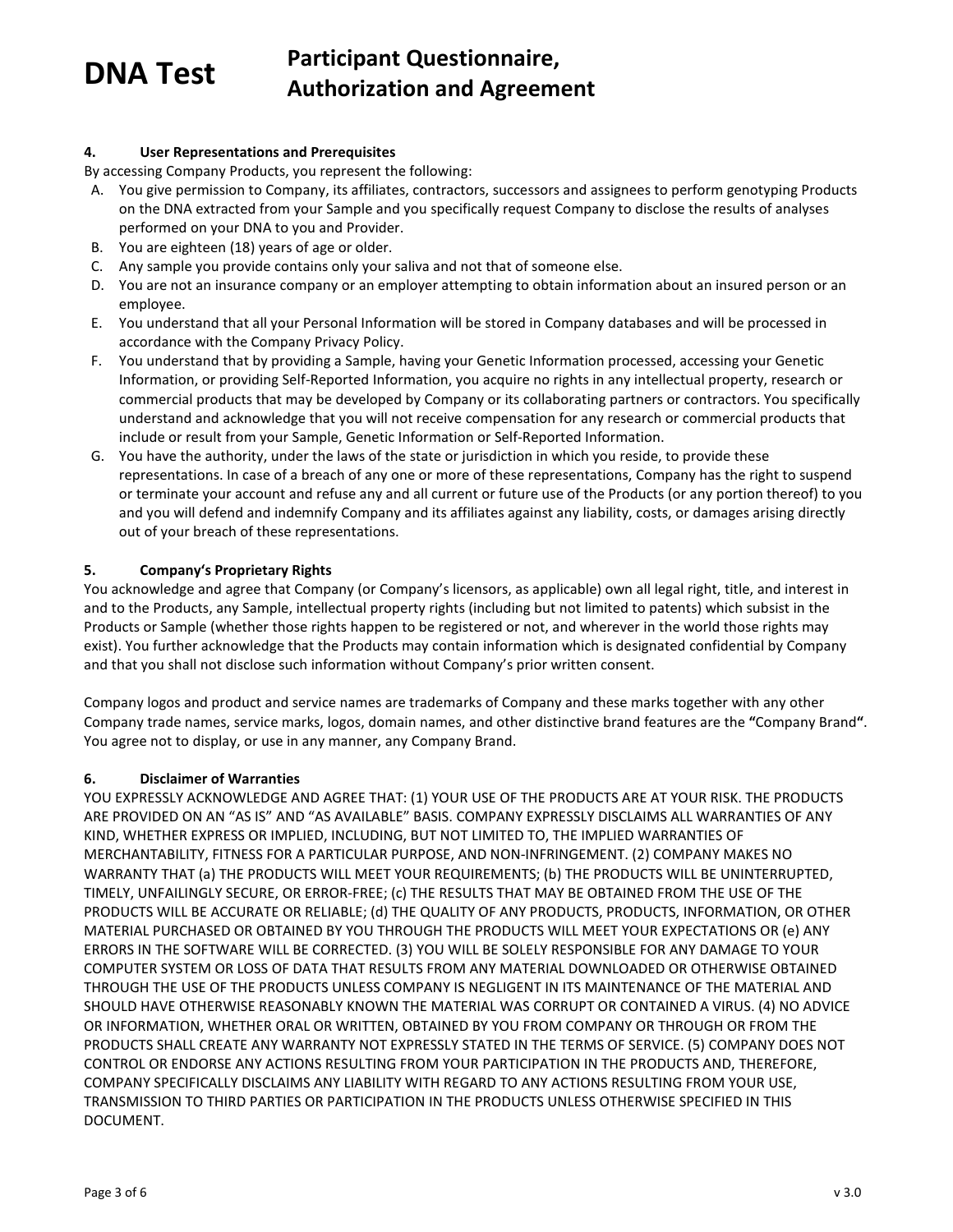### **4. User Representations and Prerequisites**

By accessing Company Products, you represent the following:

- A. You give permission to Company, its affiliates, contractors, successors and assignees to perform genotyping Products on the DNA extracted from your Sample and you specifically request Company to disclose the results of analyses performed on your DNA to you and Provider.
- B. You are eighteen (18) years of age or older.
- C. Any sample you provide contains only your saliva and not that of someone else.
- D. You are not an insurance company or an employer attempting to obtain information about an insured person or an employee.
- E. You understand that all your Personal Information will be stored in Company databases and will be processed in accordance with the Company Privacy Policy.
- F. You understand that by providing a Sample, having your Genetic Information processed, accessing your Genetic Information, or providing Self-Reported Information, you acquire no rights in any intellectual property, research or commercial products that may be developed by Company or its collaborating partners or contractors. You specifically understand and acknowledge that you will not receive compensation for any research or commercial products that include or result from your Sample, Genetic Information or Self-Reported Information.
- G. You have the authority, under the laws of the state or jurisdiction in which you reside, to provide these representations. In case of a breach of any one or more of these representations, Company has the right to suspend or terminate your account and refuse any and all current or future use of the Products (or any portion thereof) to you and you will defend and indemnify Company and its affiliates against any liability, costs, or damages arising directly out of your breach of these representations.

#### **5. Company's Proprietary Rights**

You acknowledge and agree that Company (or Company's licensors, as applicable) own all legal right, title, and interest in and to the Products, any Sample, intellectual property rights (including but not limited to patents) which subsist in the Products or Sample (whether those rights happen to be registered or not, and wherever in the world those rights may exist). You further acknowledge that the Products may contain information which is designated confidential by Company and that you shall not disclose such information without Company's prior written consent.

Company logos and product and service names are trademarks of Company and these marks together with any other Company trade names, service marks, logos, domain names, and other distinctive brand features are the **"**Company Brand**"**. You agree not to display, or use in any manner, any Company Brand.

#### **6. Disclaimer of Warranties**

YOU EXPRESSLY ACKNOWLEDGE AND AGREE THAT: (1) YOUR USE OF THE PRODUCTS ARE AT YOUR RISK. THE PRODUCTS ARE PROVIDED ON AN "AS IS" AND "AS AVAILABLE" BASIS. COMPANY EXPRESSLY DISCLAIMS ALL WARRANTIES OF ANY KIND, WHETHER EXPRESS OR IMPLIED, INCLUDING, BUT NOT LIMITED TO, THE IMPLIED WARRANTIES OF MERCHANTABILITY, FITNESS FOR A PARTICULAR PURPOSE, AND NON-INFRINGEMENT. (2) COMPANY MAKES NO WARRANTY THAT (a) THE PRODUCTS WILL MEET YOUR REQUIREMENTS; (b) THE PRODUCTS WILL BE UNINTERRUPTED, TIMELY, UNFAILINGLY SECURE, OR ERROR-FREE; (c) THE RESULTS THAT MAY BE OBTAINED FROM THE USE OF THE PRODUCTS WILL BE ACCURATE OR RELIABLE; (d) THE QUALITY OF ANY PRODUCTS, PRODUCTS, INFORMATION, OR OTHER MATERIAL PURCHASED OR OBTAINED BY YOU THROUGH THE PRODUCTS WILL MEET YOUR EXPECTATIONS OR (e) ANY ERRORS IN THE SOFTWARE WILL BE CORRECTED. (3) YOU WILL BE SOLELY RESPONSIBLE FOR ANY DAMAGE TO YOUR COMPUTER SYSTEM OR LOSS OF DATA THAT RESULTS FROM ANY MATERIAL DOWNLOADED OR OTHERWISE OBTAINED THROUGH THE USE OF THE PRODUCTS UNLESS COMPANY IS NEGLIGENT IN ITS MAINTENANCE OF THE MATERIAL AND SHOULD HAVE OTHERWISE REASONABLY KNOWN THE MATERIAL WAS CORRUPT OR CONTAINED A VIRUS. (4) NO ADVICE OR INFORMATION, WHETHER ORAL OR WRITTEN, OBTAINED BY YOU FROM COMPANY OR THROUGH OR FROM THE PRODUCTS SHALL CREATE ANY WARRANTY NOT EXPRESSLY STATED IN THE TERMS OF SERVICE. (5) COMPANY DOES NOT CONTROL OR ENDORSE ANY ACTIONS RESULTING FROM YOUR PARTICIPATION IN THE PRODUCTS AND, THEREFORE, COMPANY SPECIFICALLY DISCLAIMS ANY LIABILITY WITH REGARD TO ANY ACTIONS RESULTING FROM YOUR USE, TRANSMISSION TO THIRD PARTIES OR PARTICIPATION IN THE PRODUCTS UNLESS OTHERWISE SPECIFIED IN THIS DOCUMENT.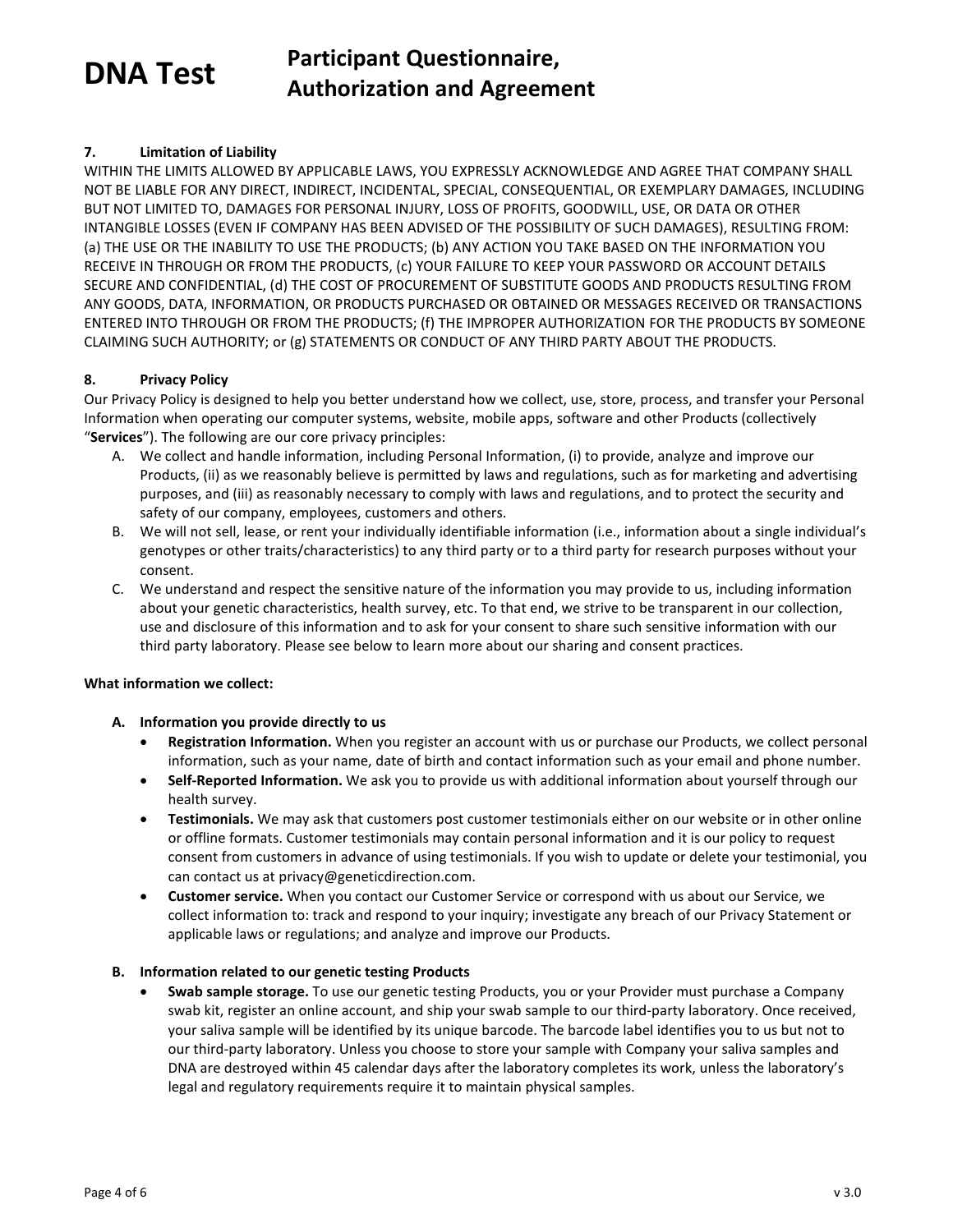### **7. Limitation of Liability**

WITHIN THE LIMITS ALLOWED BY APPLICABLE LAWS, YOU EXPRESSLY ACKNOWLEDGE AND AGREE THAT COMPANY SHALL NOT BE LIABLE FOR ANY DIRECT, INDIRECT, INCIDENTAL, SPECIAL, CONSEQUENTIAL, OR EXEMPLARY DAMAGES, INCLUDING BUT NOT LIMITED TO, DAMAGES FOR PERSONAL INJURY, LOSS OF PROFITS, GOODWILL, USE, OR DATA OR OTHER INTANGIBLE LOSSES (EVEN IF COMPANY HAS BEEN ADVISED OF THE POSSIBILITY OF SUCH DAMAGES), RESULTING FROM: (a) THE USE OR THE INABILITY TO USE THE PRODUCTS; (b) ANY ACTION YOU TAKE BASED ON THE INFORMATION YOU RECEIVE IN THROUGH OR FROM THE PRODUCTS, (c) YOUR FAILURE TO KEEP YOUR PASSWORD OR ACCOUNT DETAILS SECURE AND CONFIDENTIAL, (d) THE COST OF PROCUREMENT OF SUBSTITUTE GOODS AND PRODUCTS RESULTING FROM ANY GOODS, DATA, INFORMATION, OR PRODUCTS PURCHASED OR OBTAINED OR MESSAGES RECEIVED OR TRANSACTIONS ENTERED INTO THROUGH OR FROM THE PRODUCTS; (f) THE IMPROPER AUTHORIZATION FOR THE PRODUCTS BY SOMEONE CLAIMING SUCH AUTHORITY; or (g) STATEMENTS OR CONDUCT OF ANY THIRD PARTY ABOUT THE PRODUCTS.

#### **8. Privacy Policy**

Our Privacy Policy is designed to help you better understand how we collect, use, store, process, and transfer your Personal Information when operating our computer systems, website, mobile apps, software and other Products (collectively "**Services**"). The following are our core privacy principles:

- A. We collect and handle information, including Personal Information, (i) to provide, analyze and improve our Products, (ii) as we reasonably believe is permitted by laws and regulations, such as for marketing and advertising purposes, and (iii) as reasonably necessary to comply with laws and regulations, and to protect the security and safety of our company, employees, customers and others.
- B. We will not sell, lease, or rent your individually identifiable information (i.e., information about a single individual's genotypes or other traits/characteristics) to any third party or to a third party for research purposes without your consent.
- C. We understand and respect the sensitive nature of the information you may provide to us, including information about your genetic characteristics, health survey, etc. To that end, we strive to be transparent in our collection, use and disclosure of this information and to ask for your consent to share such sensitive information with our third party laboratory. Please see below to learn more about our sharing and consent practices.

#### **What information we collect:**

#### **A. Information you provide directly to us**

- **Registration Information.** When you register an account with us or purchase our Products, we collect personal information, such as your name, date of birth and contact information such as your email and phone number.
- **Self-Reported Information.** We ask you to provide us with additional information about yourself through our health survey.
- **Testimonials.** We may ask that customers post customer testimonials either on our website or in other online or offline formats. Customer testimonials may contain personal information and it is our policy to request consent from customers in advance of using testimonials. If you wish to update or delete your testimonial, you can contact us at privacy@geneticdirection.com.
- **Customer service.** When you contact our Customer Service or correspond with us about our Service, we collect information to: track and respond to your inquiry; investigate any breach of our Privacy Statement or applicable laws or regulations; and analyze and improve our Products.

#### **B. Information related to our genetic testing Products**

• **Swab sample storage.** To use our genetic testing Products, you or your Provider must purchase a Company swab kit, register an online account, and ship your swab sample to our third-party laboratory. Once received, your saliva sample will be identified by its unique barcode. The barcode label identifies you to us but not to our third-party laboratory. Unless you choose to store your sample with Company your saliva samples and DNA are destroyed within 45 calendar days after the laboratory completes its work, unless the laboratory's legal and regulatory requirements require it to maintain physical samples.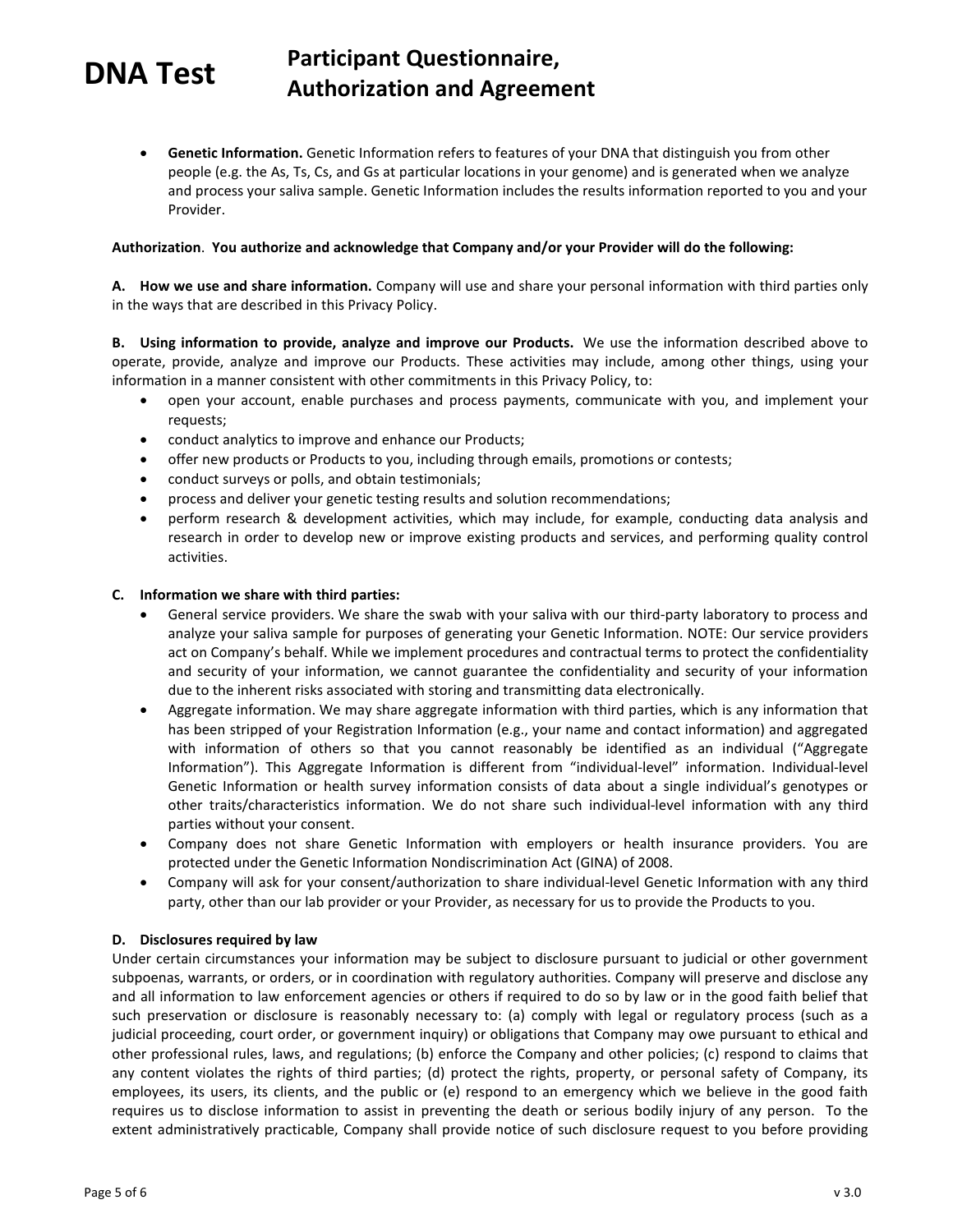• **Genetic Information.** Genetic Information refers to features of your DNA that distinguish you from other people (e.g. the As, Ts, Cs, and Gs at particular locations in your genome) and is generated when we analyze and process your saliva sample. Genetic Information includes the results information reported to you and your Provider.

#### **Authorization**. **You authorize and acknowledge that Company and/or your Provider will do the following:**

**A. How we use and share information.** Company will use and share your personal information with third parties only in the ways that are described in this Privacy Policy.

**B. Using information to provide, analyze and improve our Products.** We use the information described above to operate, provide, analyze and improve our Products. These activities may include, among other things, using your information in a manner consistent with other commitments in this Privacy Policy, to:

- open your account, enable purchases and process payments, communicate with you, and implement your requests;
- conduct analytics to improve and enhance our Products;
- offer new products or Products to you, including through emails, promotions or contests;
- conduct surveys or polls, and obtain testimonials;
- process and deliver your genetic testing results and solution recommendations;
- perform research & development activities, which may include, for example, conducting data analysis and research in order to develop new or improve existing products and services, and performing quality control activities.

#### **C. Information we share with third parties:**

- General service providers. We share the swab with your saliva with our third-party laboratory to process and analyze your saliva sample for purposes of generating your Genetic Information. NOTE: Our service providers act on Company's behalf. While we implement procedures and contractual terms to protect the confidentiality and security of your information, we cannot guarantee the confidentiality and security of your information due to the inherent risks associated with storing and transmitting data electronically.
- Aggregate information. We may share aggregate information with third parties, which is any information that has been stripped of your Registration Information (e.g., your name and contact information) and aggregated with information of others so that you cannot reasonably be identified as an individual ("Aggregate Information"). This Aggregate Information is different from "individual-level" information. Individual-level Genetic Information or health survey information consists of data about a single individual's genotypes or other traits/characteristics information. We do not share such individual-level information with any third parties without your consent.
- Company does not share Genetic Information with employers or health insurance providers. You are protected under the Genetic Information Nondiscrimination Act (GINA) of 2008.
- Company will ask for your consent/authorization to share individual-level Genetic Information with any third party, other than our lab provider or your Provider, as necessary for us to provide the Products to you.

#### **D. Disclosures required by law**

Under certain circumstances your information may be subject to disclosure pursuant to judicial or other government subpoenas, warrants, or orders, or in coordination with regulatory authorities. Company will preserve and disclose any and all information to law enforcement agencies or others if required to do so by law or in the good faith belief that such preservation or disclosure is reasonably necessary to: (a) comply with legal or regulatory process (such as a judicial proceeding, court order, or government inquiry) or obligations that Company may owe pursuant to ethical and other professional rules, laws, and regulations; (b) enforce the Company and other policies; (c) respond to claims that any content violates the rights of third parties; (d) protect the rights, property, or personal safety of Company, its employees, its users, its clients, and the public or (e) respond to an emergency which we believe in the good faith requires us to disclose information to assist in preventing the death or serious bodily injury of any person. To the extent administratively practicable, Company shall provide notice of such disclosure request to you before providing